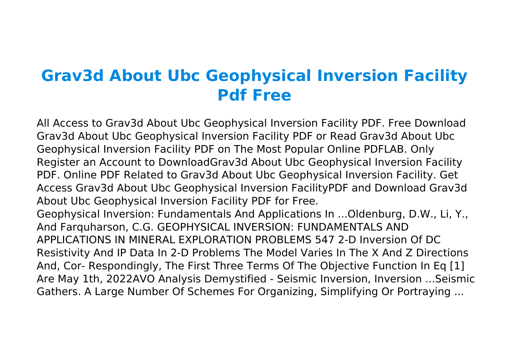## **Grav3d About Ubc Geophysical Inversion Facility Pdf Free**

All Access to Grav3d About Ubc Geophysical Inversion Facility PDF. Free Download Grav3d About Ubc Geophysical Inversion Facility PDF or Read Grav3d About Ubc Geophysical Inversion Facility PDF on The Most Popular Online PDFLAB. Only Register an Account to DownloadGrav3d About Ubc Geophysical Inversion Facility PDF. Online PDF Related to Grav3d About Ubc Geophysical Inversion Facility. Get Access Grav3d About Ubc Geophysical Inversion FacilityPDF and Download Grav3d About Ubc Geophysical Inversion Facility PDF for Free. Geophysical Inversion: Fundamentals And Applications In ...Oldenburg, D.W., Li, Y., And Farquharson, C.G. GEOPHYSICAL INVERSION: FUNDAMENTALS AND APPLICATIONS IN MINERAL EXPLORATION PROBLEMS 547 2-D Inversion Of DC Resistivity And IP Data In 2-D Problems The Model Varies In The X And Z Directions And, Cor- Respondingly, The First Three Terms Of The Objective Function In Eq [1] Are May 1th, 2022AVO Analysis Demystified - Seismic Inversion, Inversion ...Seismic Gathers. A Large Number Of Schemes For Organizing, Simplifying Or Portraying ...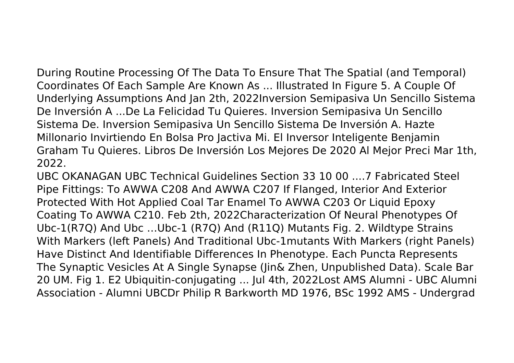During Routine Processing Of The Data To Ensure That The Spatial (and Temporal) Coordinates Of Each Sample Are Known As ... Illustrated In Figure 5. A Couple Of Underlying Assumptions And Jan 2th, 2022Inversion Semipasiva Un Sencillo Sistema De Inversión A ...De La Felicidad Tu Quieres. Inversion Semipasiva Un Sencillo Sistema De. Inversion Semipasiva Un Sencillo Sistema De Inversión A. Hazte Millonario Invirtiendo En Bolsa Pro Jactiva Mi. El Inversor Inteligente Benjamin Graham Tu Quieres. Libros De Inversión Los Mejores De 2020 Al Mejor Preci Mar 1th, 2022.

UBC OKANAGAN UBC Technical Guidelines Section 33 10 00 ....7 Fabricated Steel Pipe Fittings: To AWWA C208 And AWWA C207 If Flanged, Interior And Exterior Protected With Hot Applied Coal Tar Enamel To AWWA C203 Or Liquid Epoxy Coating To AWWA C210. Feb 2th, 2022Characterization Of Neural Phenotypes Of Ubc-1(R7Q) And Ubc …Ubc-1 (R7Q) And (R11Q) Mutants Fig. 2. Wildtype Strains With Markers (left Panels) And Traditional Ubc-1mutants With Markers (right Panels) Have Distinct And Identifiable Differences In Phenotype. Each Puncta Represents The Synaptic Vesicles At A Single Synapse (Jin& Zhen, Unpublished Data). Scale Bar 20 UM. Fig 1. E2 Ubiquitin-conjugating ... Jul 4th, 2022Lost AMS Alumni - UBC Alumni Association - Alumni UBCDr Philip R Barkworth MD 1976, BSc 1992 AMS - Undergrad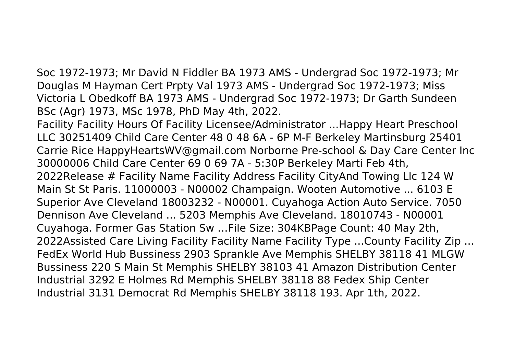Soc 1972-1973; Mr David N Fiddler BA 1973 AMS - Undergrad Soc 1972-1973; Mr Douglas M Hayman Cert Prpty Val 1973 AMS - Undergrad Soc 1972-1973; Miss Victoria L Obedkoff BA 1973 AMS - Undergrad Soc 1972-1973; Dr Garth Sundeen BSc (Agr) 1973, MSc 1978, PhD May 4th, 2022.

Facility Facility Hours Of Facility Licensee/Administrator ...Happy Heart Preschool LLC 30251409 Child Care Center 48 0 48 6A - 6P M-F Berkeley Martinsburg 25401 Carrie Rice HappyHeartsWV@gmail.com Norborne Pre-school & Day Care Center Inc 30000006 Child Care Center 69 0 69 7A - 5:30P Berkeley Marti Feb 4th, 2022Release # Facility Name Facility Address Facility CityAnd Towing Llc 124 W Main St St Paris. 11000003 - N00002 Champaign. Wooten Automotive ... 6103 E Superior Ave Cleveland 18003232 - N00001. Cuyahoga Action Auto Service. 7050 Dennison Ave Cleveland ... 5203 Memphis Ave Cleveland. 18010743 - N00001 Cuyahoga. Former Gas Station Sw …File Size: 304KBPage Count: 40 May 2th, 2022Assisted Care Living Facility Facility Name Facility Type ...County Facility Zip ... FedEx World Hub Bussiness 2903 Sprankle Ave Memphis SHELBY 38118 41 MLGW Bussiness 220 S Main St Memphis SHELBY 38103 41 Amazon Distribution Center Industrial 3292 E Holmes Rd Memphis SHELBY 38118 88 Fedex Ship Center Industrial 3131 Democrat Rd Memphis SHELBY 38118 193. Apr 1th, 2022.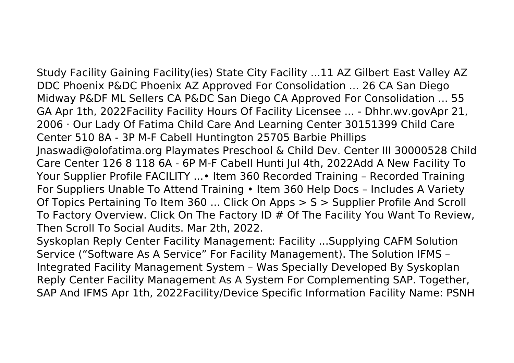Study Facility Gaining Facility(ies) State City Facility ...11 AZ Gilbert East Valley AZ DDC Phoenix P&DC Phoenix AZ Approved For Consolidation ... 26 CA San Diego Midway P&DF ML Sellers CA P&DC San Diego CA Approved For Consolidation ... 55 GA Apr 1th, 2022Facility Facility Hours Of Facility Licensee ... - Dhhr.wv.govApr 21, 2006 · Our Lady Of Fatima Child Care And Learning Center 30151399 Child Care Center 510 8A - 3P M-F Cabell Huntington 25705 Barbie Phillips Jnaswadi@olofatima.org Playmates Preschool & Child Dev. Center III 30000528 Child Care Center 126 8 118 6A - 6P M-F Cabell Hunti Jul 4th, 2022Add A New Facility To Your Supplier Profile FACILITY ...• Item 360 Recorded Training – Recorded Training For Suppliers Unable To Attend Training • Item 360 Help Docs – Includes A Variety Of Topics Pertaining To Item 360 ... Click On Apps > S > Supplier Profile And Scroll To Factory Overview. Click On The Factory ID # Of The Facility You Want To Review, Then Scroll To Social Audits. Mar 2th, 2022.

Syskoplan Reply Center Facility Management: Facility ...Supplying CAFM Solution Service ("Software As A Service" For Facility Management). The Solution IFMS – Integrated Facility Management System – Was Specially Developed By Syskoplan Reply Center Facility Management As A System For Complementing SAP. Together, SAP And IFMS Apr 1th, 2022Facility/Device Specific Information Facility Name: PSNH